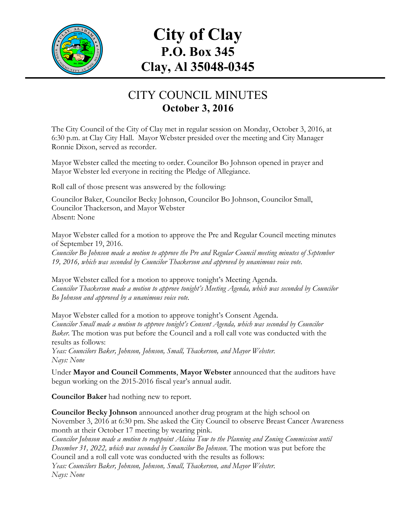

# **City of Clay P.O. Box 345 Clay, Al 35048-0345**

## CITY COUNCIL MINUTES **October 3, 2016**

The City Council of the City of Clay met in regular session on Monday, October 3, 2016, at 6:30 p.m. at Clay City Hall. Mayor Webster presided over the meeting and City Manager Ronnie Dixon, served as recorder.

Mayor Webster called the meeting to order. Councilor Bo Johnson opened in prayer and Mayor Webster led everyone in reciting the Pledge of Allegiance.

Roll call of those present was answered by the following:

Councilor Baker, Councilor Becky Johnson, Councilor Bo Johnson, Councilor Small, Councilor Thackerson, and Mayor Webster Absent: None

Mayor Webster called for a motion to approve the Pre and Regular Council meeting minutes of September 19, 2016.

*Councilor Bo Johnson made a motion to approve the Pre and Regular Council meeting minutes of September 19, 2016, which was seconded by Councilor Thackerson and approved by unanimous voice vote.*

Mayor Webster called for a motion to approve tonight's Meeting Agenda. *Councilor Thackerson made a motion to approve tonight's Meeting Agenda, which was seconded by Councilor Bo Johnson and approved by a unanimous voice vote.*

Mayor Webster called for a motion to approve tonight's Consent Agenda. *Councilor Small made a motion to approve tonight's Consent Agenda, which was seconded by Councilor Baker.* The motion was put before the Council and a roll call vote was conducted with the results as follows:

*Yeas: Councilors Baker, Johnson, Johnson, Small, Thackerson, and Mayor Webster. Nays: None*

Under **Mayor and Council Comments**, **Mayor Webster** announced that the auditors have begun working on the 2015-2016 fiscal year's annual audit.

**Councilor Baker** had nothing new to report.

**Councilor Becky Johnson** announced another drug program at the high school on November 3, 2016 at 6:30 pm. She asked the City Council to observe Breast Cancer Awareness month at their October 17 meeting by wearing pink.

*Councilor Johnson made a motion to reappoint Alaina Tow to the Planning and Zoning Commission until December 31, 2022, which was seconded by Councilor Bo Johnson*. The motion was put before the Council and a roll call vote was conducted with the results as follows: *Yeas: Councilors Baker, Johnson, Johnson, Small, Thackerson, and Mayor Webster. Nays: None*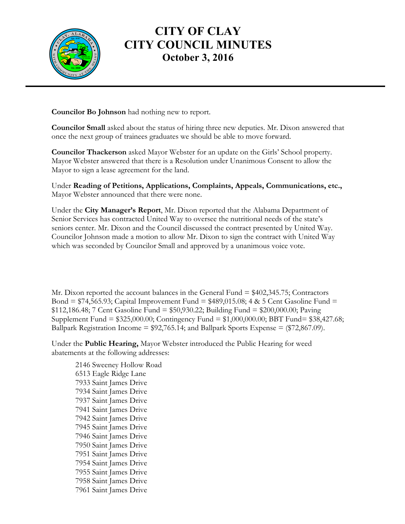

**Councilor Bo Johnson** had nothing new to report.

**Councilor Small** asked about the status of hiring three new deputies. Mr. Dixon answered that once the next group of trainees graduates we should be able to move forward.

**Councilor Thackerson** asked Mayor Webster for an update on the Girls' School property. Mayor Webster answered that there is a Resolution under Unanimous Consent to allow the Mayor to sign a lease agreement for the land.

Under **Reading of Petitions, Applications, Complaints, Appeals, Communications, etc.,** Mayor Webster announced that there were none.

Under the **City Manager's Report**, Mr. Dixon reported that the Alabama Department of Senior Services has contracted United Way to oversee the nutritional needs of the state's seniors center. Mr. Dixon and the Council discussed the contract presented by United Way. Councilor Johnson made a motion to allow Mr. Dixon to sign the contract with United Way which was seconded by Councilor Small and approved by a unanimous voice vote.

Mr. Dixon reported the account balances in the General Fund = \$402,345.75; Contractors Bond =  $$74,565.93$ ; Capital Improvement Fund =  $$489,015.08$ ; 4 & 5 Cent Gasoline Fund = \$112,186.48; 7 Cent Gasoline Fund = \$50,930.22; Building Fund = \$200,000.00; Paving Supplement Fund = \$325,000.00; Contingency Fund = \$1,000,000.00; BBT Fund= \$38,427.68; Ballpark Registration Income =  $$92,765.14$ ; and Ballpark Sports Expense =  $$72,867.09$ ).

Under the **Public Hearing,** Mayor Webster introduced the Public Hearing for weed abatements at the following addresses:

2146 Sweeney Hollow Road 6513 Eagle Ridge Lane 7933 Saint James Drive 7934 Saint James Drive 7937 Saint James Drive 7941 Saint James Drive 7942 Saint James Drive 7945 Saint James Drive 7946 Saint James Drive 7950 Saint James Drive 7951 Saint James Drive 7954 Saint James Drive 7955 Saint James Drive 7958 Saint James Drive 7961 Saint James Drive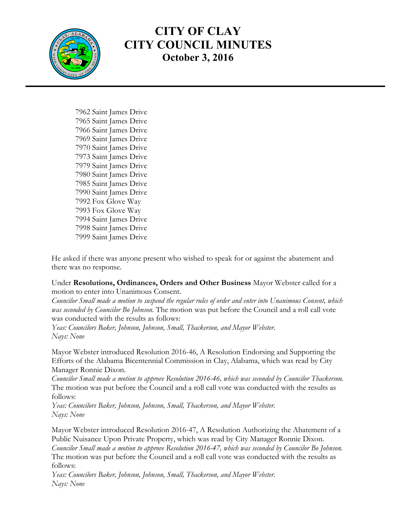

7962 Saint James Drive 7965 Saint James Drive 7966 Saint James Drive 7969 Saint James Drive 7970 Saint James Drive 7973 Saint James Drive 7979 Saint James Drive 7980 Saint James Drive 7985 Saint James Drive 7990 Saint James Drive 7992 Fox Glove Way 7993 Fox Glove Way 7994 Saint James Drive 7998 Saint James Drive 7999 Saint James Drive

He asked if there was anyone present who wished to speak for or against the abatement and there was no response.

#### Under **Resolutions, Ordinances, Orders and Other Business** Mayor Webster called for a motion to enter into Unanimous Consent.

*Councilor Small made a motion to suspend the regular rules of order and enter into Unanimous Consent, which was seconded by Councilor Bo Johnson.* The motion was put before the Council and a roll call vote was conducted with the results as follows:

*Yeas: Councilors Baker, Johnson, Johnson, Small, Thackerson, and Mayor Webster. Nays: None*

Mayor Webster introduced Resolution 2016-46, A Resolution Endorsing and Supporting the Efforts of the Alabama Bicentennial Commission in Clay, Alabama, which was read by City Manager Ronnie Dixon.

*Councilor Small made a motion to approve Resolution 2016-46, which was seconded by Councilor Thackerson.*  The motion was put before the Council and a roll call vote was conducted with the results as follows:

*Yeas: Councilors Baker, Johnson, Johnson, Small, Thackerson, and Mayor Webster. Nays: None*

Mayor Webster introduced Resolution 2016-47, A Resolution Authorizing the Abatement of a Public Nuisance Upon Private Property, which was read by City Manager Ronnie Dixon. *Councilor Small made a motion to approve Resolution 2016-47, which was seconded by Councilor Bo Johnson.*  The motion was put before the Council and a roll call vote was conducted with the results as follows:

*Yeas: Councilors Baker, Johnson, Johnson, Small, Thackerson, and Mayor Webster. Nays: None*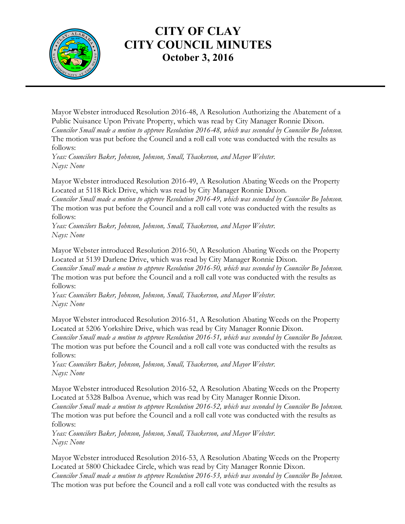

Mayor Webster introduced Resolution 2016-48, A Resolution Authorizing the Abatement of a Public Nuisance Upon Private Property, which was read by City Manager Ronnie Dixon. *Councilor Small made a motion to approve Resolution 2016-48, which was seconded by Councilor Bo Johnson.*  The motion was put before the Council and a roll call vote was conducted with the results as follows:

*Yeas: Councilors Baker, Johnson, Johnson, Small, Thackerson, and Mayor Webster. Nays: None*

Mayor Webster introduced Resolution 2016-49, A Resolution Abating Weeds on the Property Located at 5118 Rick Drive, which was read by City Manager Ronnie Dixon.

*Councilor Small made a motion to approve Resolution 2016-49, which was seconded by Councilor Bo Johnson.*  The motion was put before the Council and a roll call vote was conducted with the results as follows:

*Yeas: Councilors Baker, Johnson, Johnson, Small, Thackerson, and Mayor Webster. Nays: None*

Mayor Webster introduced Resolution 2016-50, A Resolution Abating Weeds on the Property Located at 5139 Darlene Drive, which was read by City Manager Ronnie Dixon.

*Councilor Small made a motion to approve Resolution 2016-50, which was seconded by Councilor Bo Johnson.*  The motion was put before the Council and a roll call vote was conducted with the results as follows:

*Yeas: Councilors Baker, Johnson, Johnson, Small, Thackerson, and Mayor Webster. Nays: None*

Mayor Webster introduced Resolution 2016-51, A Resolution Abating Weeds on the Property Located at 5206 Yorkshire Drive, which was read by City Manager Ronnie Dixon.

*Councilor Small made a motion to approve Resolution 2016-51, which was seconded by Councilor Bo Johnson.*  The motion was put before the Council and a roll call vote was conducted with the results as follows:

*Yeas: Councilors Baker, Johnson, Johnson, Small, Thackerson, and Mayor Webster. Nays: None*

Mayor Webster introduced Resolution 2016-52, A Resolution Abating Weeds on the Property Located at 5328 Balboa Avenue, which was read by City Manager Ronnie Dixon. *Councilor Small made a motion to approve Resolution 2016-52, which was seconded by Councilor Bo Johnson.*  The motion was put before the Council and a roll call vote was conducted with the results as follows:

*Yeas: Councilors Baker, Johnson, Johnson, Small, Thackerson, and Mayor Webster. Nays: None*

Mayor Webster introduced Resolution 2016-53, A Resolution Abating Weeds on the Property Located at 5800 Chickadee Circle, which was read by City Manager Ronnie Dixon. *Councilor Small made a motion to approve Resolution 2016-53, which was seconded by Councilor Bo Johnson.*  The motion was put before the Council and a roll call vote was conducted with the results as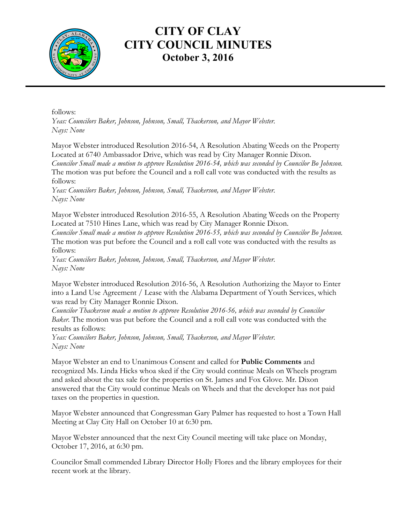

follows:

*Yeas: Councilors Baker, Johnson, Johnson, Small, Thackerson, and Mayor Webster. Nays: None*

Mayor Webster introduced Resolution 2016-54, A Resolution Abating Weeds on the Property Located at 6740 Ambassador Drive, which was read by City Manager Ronnie Dixon. *Councilor Small made a motion to approve Resolution 2016-54, which was seconded by Councilor Bo Johnson.*  The motion was put before the Council and a roll call vote was conducted with the results as follows:

*Yeas: Councilors Baker, Johnson, Johnson, Small, Thackerson, and Mayor Webster. Nays: None*

Mayor Webster introduced Resolution 2016-55, A Resolution Abating Weeds on the Property Located at 7510 Hines Lane, which was read by City Manager Ronnie Dixon.

*Councilor Small made a motion to approve Resolution 2016-55, which was seconded by Councilor Bo Johnson.*  The motion was put before the Council and a roll call vote was conducted with the results as follows:

*Yeas: Councilors Baker, Johnson, Johnson, Small, Thackerson, and Mayor Webster. Nays: None*

Mayor Webster introduced Resolution 2016-56, A Resolution Authorizing the Mayor to Enter into a Land Use Agreement / Lease with the Alabama Department of Youth Services, which was read by City Manager Ronnie Dixon.

*Councilor Thackerson made a motion to approve Resolution 2016-56, which was seconded by Councilor Baker.* The motion was put before the Council and a roll call vote was conducted with the results as follows:

*Yeas: Councilors Baker, Johnson, Johnson, Small, Thackerson, and Mayor Webster. Nays: None*

Mayor Webster an end to Unanimous Consent and called for **Public Comments** and recognized Ms. Linda Hicks whoa sked if the City would continue Meals on Wheels program and asked about the tax sale for the properties on St. James and Fox Glove. Mr. Dixon answered that the City would continue Meals on Wheels and that the developer has not paid taxes on the properties in question.

Mayor Webster announced that Congressman Gary Palmer has requested to host a Town Hall Meeting at Clay City Hall on October 10 at 6:30 pm.

Mayor Webster announced that the next City Council meeting will take place on Monday, October 17, 2016, at 6:30 pm.

Councilor Small commended Library Director Holly Flores and the library employees for their recent work at the library.